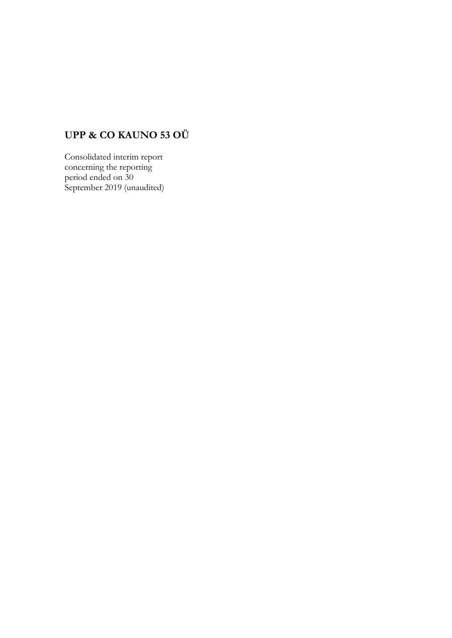# **UPP & CO KAUNO 53 OÜ**

Consolidated interim report concerning the reporting period ended on 30 September 2019 (unaudited)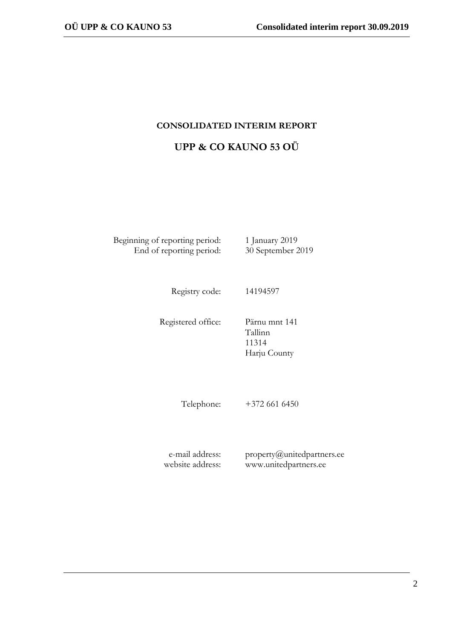# **CONSOLIDATED INTERIM REPORT**

# **UPP & CO KAUNO 53 OÜ**

Beginning of reporting period: 1 January 2019 End of reporting period: 30 September 2019

Registry code: 14194597

Registered office: Pärnu mnt 141 Tallinn 11314 Harju County

Telephone: +372 661 6450

e-mail address: website address: property@unitedpartners.ee www.unitedpartners.ee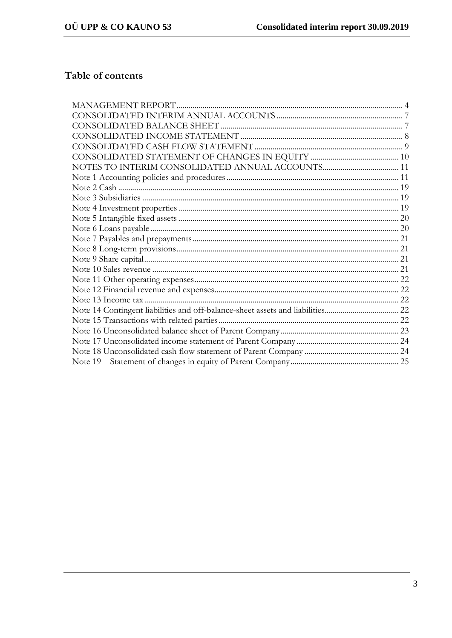# Table of contents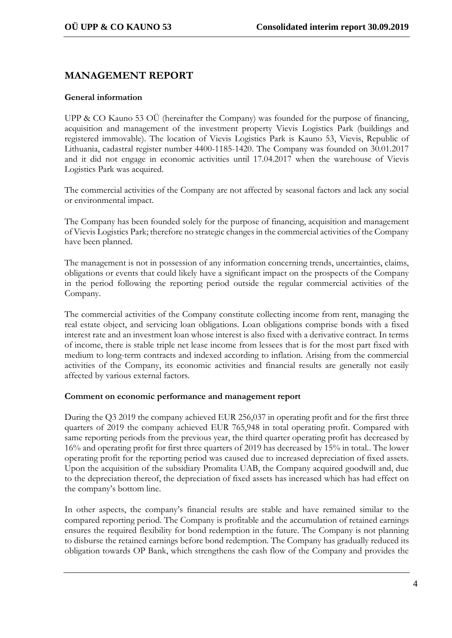# **MANAGEMENT REPORT**

# **General information**

UPP & CO Kauno 53 OÜ (hereinafter the Company) was founded for the purpose of financing, acquisition and management of the investment property Vievis Logistics Park (buildings and registered immovable). The location of Vievis Logistics Park is Kauno 53, Vievis, Republic of Lithuania, cadastral register number 4400-1185-1420. The Company was founded on 30.01.2017 and it did not engage in economic activities until 17.04.2017 when the warehouse of Vievis Logistics Park was acquired.

The commercial activities of the Company are not affected by seasonal factors and lack any social or environmental impact.

The Company has been founded solely for the purpose of financing, acquisition and management of Vievis Logistics Park; therefore no strategic changes in the commercial activities of the Company have been planned.

The management is not in possession of any information concerning trends, uncertainties, claims, obligations or events that could likely have a significant impact on the prospects of the Company in the period following the reporting period outside the regular commercial activities of the Company.

The commercial activities of the Company constitute collecting income from rent, managing the real estate object, and servicing loan obligations. Loan obligations comprise bonds with a fixed interest rate and an investment loan whose interest is also fixed with a derivative contract. In terms of income, there is stable triple net lease income from lessees that is for the most part fixed with medium to long-term contracts and indexed according to inflation. Arising from the commercial activities of the Company, its economic activities and financial results are generally not easily affected by various external factors.

# **Comment on economic performance and management report**

During the Q3 2019 the company achieved EUR 256,037 in operating profit and for the first three quarters of 2019 the company achieved EUR 765,948 in total operating profit. Compared with same reporting periods from the previous year, the third quarter operating profit has decreased by 16% and operating profit for first three quarters of 2019 has decreased by 15% in total.. The lower operating profit for the reporting period was caused due to increased depreciation of fixed assets. Upon the acquisition of the subsidiary Promalita UAB, the Company acquired goodwill and, due to the depreciation thereof, the depreciation of fixed assets has increased which has had effect on the company's bottom line.

In other aspects, the company's financial results are stable and have remained similar to the compared reporting period. The Company is profitable and the accumulation of retained earnings ensures the required flexibility for bond redemption in the future. The Company is not planning to disburse the retained earnings before bond redemption. The Company has gradually reduced its obligation towards OP Bank, which strengthens the cash flow of the Company and provides the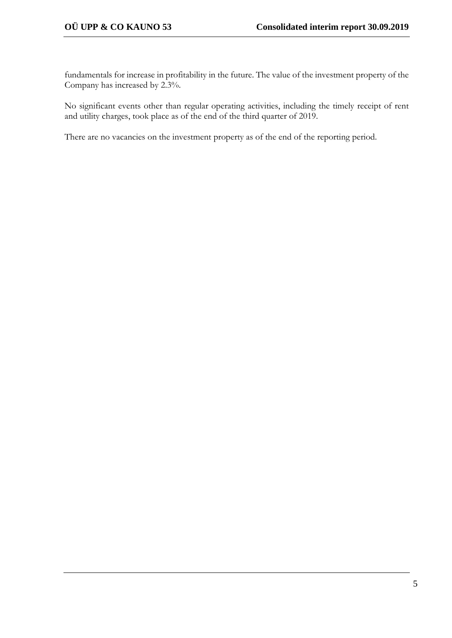fundamentals for increase in profitability in the future. The value of the investment property of the Company has increased by 2.3%.

No significant events other than regular operating activities, including the timely receipt of rent and utility charges, took place as of the end of the third quarter of 2019.

There are no vacancies on the investment property as of the end of the reporting period.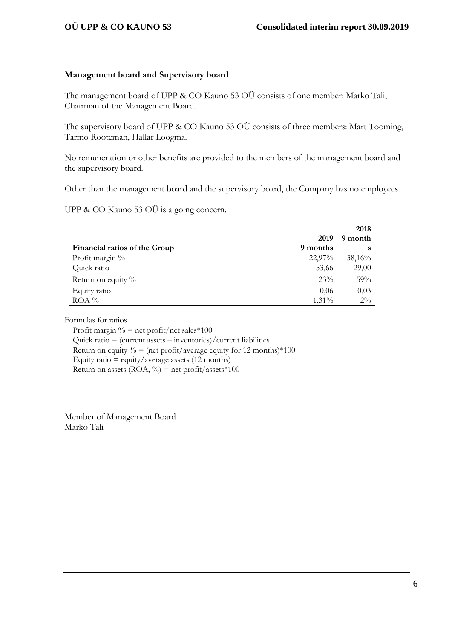# **Management board and Supervisory board**

The management board of UPP & CO Kauno 53 OÜ consists of one member: Marko Tali, Chairman of the Management Board.

The supervisory board of UPP & CO Kauno 53 OÜ consists of three members: Mart Tooming, Tarmo Rooteman, Hallar Loogma.

No remuneration or other benefits are provided to the members of the management board and the supervisory board.

Other than the management board and the supervisory board, the Company has no employees.

UPP & CO Kauno 53 OÜ is a going concern.

|                               |          | 2018    |
|-------------------------------|----------|---------|
|                               | 2019     | 9 month |
| Financial ratios of the Group | 9 months | s       |
| Profit margin %               | 22,97%   | 38,16%  |
| Quick ratio                   | 53,66    | 29,00   |
| Return on equity $\%$         | 23%      | 59%     |
| Equity ratio                  | 0,06     | 0,03    |
| $ROA\%$                       | 1,31%    | $2\%$   |

Formulas for ratios

Profit margin  $\%$  = net profit/net sales\*100 Quick ratio  $=$  (current assets  $-$  inventories)/current liabilities Return on equity  $\% = (\text{net profit}/\text{average equity for 12 months}) \times 100$ Equity ratio  $=$  equity/average assets (12 months) Return on assets  $(ROA, %)$  = net profit/assets\*100

Member of Management Board Marko Tali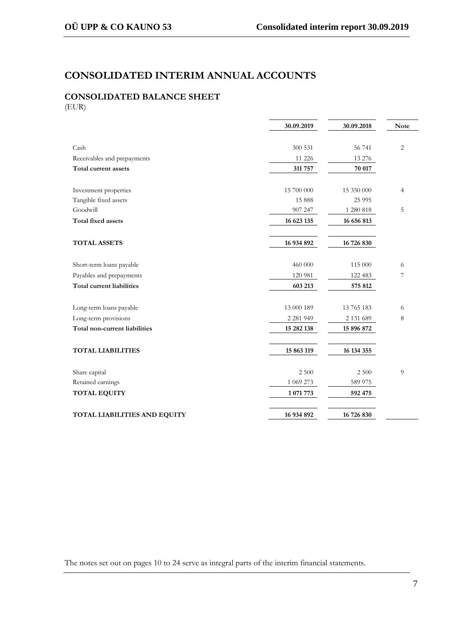# **CONSOLIDATED INTERIM ANNUAL ACCOUNTS**

# **CONSOLIDATED BALANCE SHEET** (EUR)

|                               | 30.09.2019    | 30.09.2018    | <b>Note</b>    |
|-------------------------------|---------------|---------------|----------------|
|                               |               |               |                |
| Cash                          | 300 531       | 56 741        | 2              |
| Receivables and prepayments   | 11 226        | 13 276        |                |
| Total current assets          | 311 757       | 70 017        |                |
| Investment properties         | 15 700 000    | 15 350 000    | $\overline{4}$ |
| Tangible fixed assets         | 15 888        | 25 9 95       |                |
| Goodwill                      | 907 247       | 1 280 818     | 5              |
| <b>Total fixed assets</b>     | 16 623 135    | 16 656 813    |                |
| <b>TOTAL ASSETS</b>           | 16 934 892    | 16 726 830    |                |
| Short-term loans payable      | 460 000       | 115 000       | 6              |
| Payables and prepayments      | 120 981       | 122 483       | 7              |
| Total current liabilities     | 603 213       | 575 812       |                |
| Long-term loans payable       | 13 000 189    | 13 765 183    | 6              |
| Long-term provisions          | 2 2 8 1 9 4 9 | 2 1 3 1 6 8 9 | $\,8\,$        |
| Total non-current liabilities | 15 282 138    | 15 896 872    |                |
| <b>TOTAL LIABILITIES</b>      | 15 863 119    | 16 134 355    |                |
| Share capital                 | 2 500         | 2 500         | 9              |
| Retained earnings             | 1 069 273     | 589 975       |                |
| <b>TOTAL EQUITY</b>           | 1 071 773     | 592 475       |                |
| TOTAL LIABILITIES AND EQUITY  | 16 934 892    | 16 726 830    |                |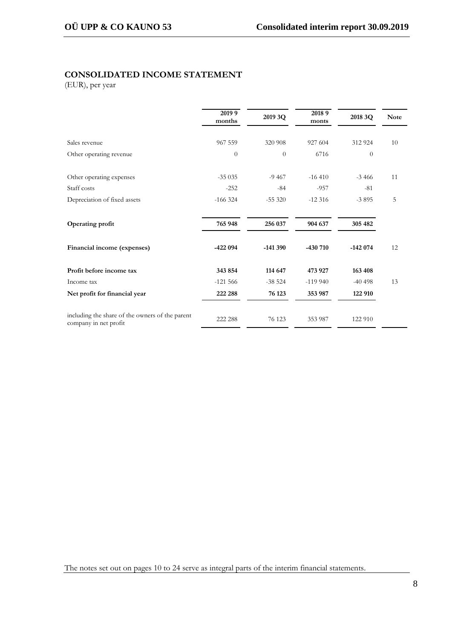# **CONSOLIDATED INCOME STATEMENT**

(EUR), per year

|                                                                          | 2019 9<br>months | 2019 3Q        | 20189<br>monts | 2018 3Q   | <b>Note</b> |
|--------------------------------------------------------------------------|------------------|----------------|----------------|-----------|-------------|
| Sales revenue                                                            | 967 559          | 320 908        | 927 604        | 312 924   | 10          |
| Other operating revenue                                                  | $\theta$         | $\overline{0}$ | 6716           | $\theta$  |             |
| Other operating expenses                                                 | $-35035$         | $-9467$        | $-16410$       | $-3,466$  | 11          |
| Staff costs                                                              | $-252$           | $-84$          | $-957$         | $-81$     |             |
| Depreciation of fixed assets                                             | $-166324$        | $-55320$       | $-12316$       | $-3895$   | 5           |
| Operating profit                                                         | 765 948          | 256 037        | 904 637        | 305 482   |             |
| Financial income (expenses)                                              | $-422094$        | $-141390$      | $-430710$      | $-142074$ | 12          |
| Profit before income tax                                                 | 343 854          | 114 647        | 473 927        | 163 408   |             |
| Income tax                                                               | $-121566$        | $-38524$       | $-119940$      | $-40498$  | 13          |
| Net profit for financial year                                            | 222 288          | 76 123         | 353 987        | 122 910   |             |
| including the share of the owners of the parent<br>company in net profit | 222 288          | 76 123         | 353 987        | 122 910   |             |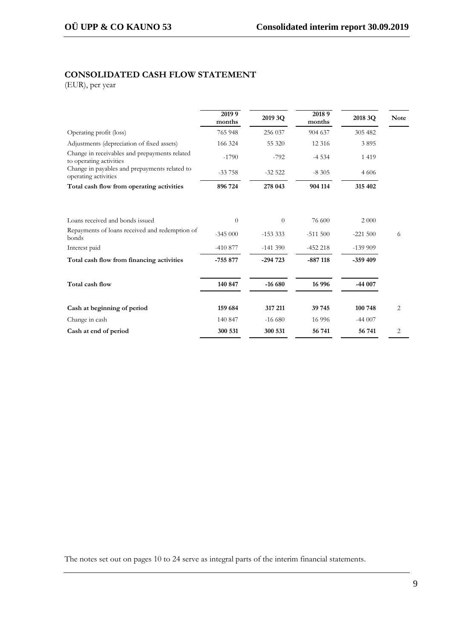# **CONSOLIDATED CASH FLOW STATEMENT**

(EUR), per year

|                                                                          | 2019 9<br>months | 2019 3Q   | 20189<br>months | 2018 3Q   | <b>Note</b> |
|--------------------------------------------------------------------------|------------------|-----------|-----------------|-----------|-------------|
| Operating profit (loss)                                                  | 765 948          | 256 037   | 904 637         | 305 482   |             |
| Adjustments (depreciation of fixed assets)                               | 166 324          | 55 320    | 12 3 16         | 3895      |             |
| Change in receivables and prepayments related<br>to operating activities | $-1790$          | $-792$    | $-4534$         | 1 4 1 9   |             |
| Change in payables and prepayments related to<br>operating activities    | $-33758$         | $-32522$  | $-8305$         | 4 6 0 6   |             |
| Total cash flow from operating activities                                | 896 724          | 278 043   | 904 114         | 315 402   |             |
| Loans received and bonds issued                                          | $\Omega$         | $\theta$  | 76 600          | 2 0 0 0   |             |
| Repayments of loans received and redemption of<br>bonds                  | $-345000$        | $-153333$ | $-511500$       | $-221500$ | 6           |
| Interest paid                                                            | $-410877$        | $-141390$ | $-452218$       | $-139999$ |             |
| Total cash flow from financing activities                                | $-755877$        | $-294723$ | $-887118$       | $-359409$ |             |
| Total cash flow                                                          | 140 847          | $-16680$  | 16 9 96         | $-44007$  |             |
| Cash at beginning of period                                              | 159 684          | 317 211   | 39 745          | 100 748   | 2           |
| Change in cash                                                           | 140 847          | $-166680$ | 16 9 96         | $-44007$  |             |
| Cash at end of period                                                    | 300 531          | 300 531   | 56 741          | 56 741    | 2           |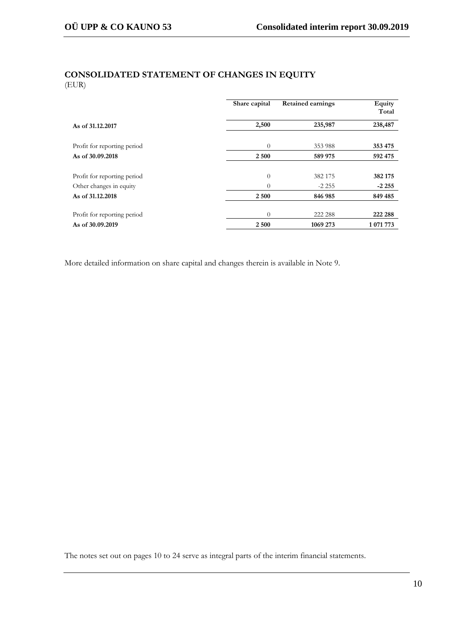# **CONSOLIDATED STATEMENT OF CHANGES IN EQUITY** (EUR)

|                             | Share capital  | <b>Retained earnings</b> | Equity<br>Total |
|-----------------------------|----------------|--------------------------|-----------------|
| As of 31,12,2017            | 2,500          | 235,987                  | 238,487         |
| Profit for reporting period | $\theta$       | 353 988                  | 353 475         |
| As of 30,09,2018            | 2 500          | 589 975                  | 592 475         |
|                             |                |                          |                 |
| Profit for reporting period | $\overline{0}$ | 382 175                  | 382 175         |
| Other changes in equity     | $\theta$       | $-2.255$                 | $-2.255$        |
| As of 31,12,2018            | 2 500          | 846 985                  | 849 485         |
| Profit for reporting period | $\theta$       | 222 288                  | 222 288         |
| As of 30.09.2019            | 2 500          | 1069 273                 | 1 071 773       |

More detailed information on share capital and changes therein is available in Note 9.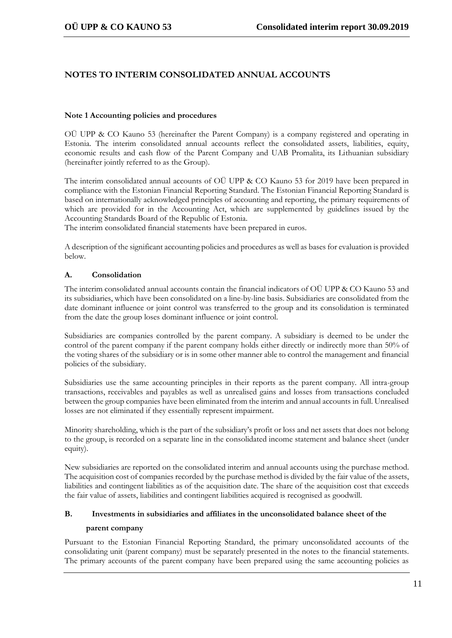# **NOTES TO INTERIM CONSOLIDATED ANNUAL ACCOUNTS**

#### **Note 1 Accounting policies and procedures**

OÜ UPP & CO Kauno 53 (hereinafter the Parent Company) is a company registered and operating in Estonia. The interim consolidated annual accounts reflect the consolidated assets, liabilities, equity, economic results and cash flow of the Parent Company and UAB Promalita, its Lithuanian subsidiary (hereinafter jointly referred to as the Group).

The interim consolidated annual accounts of OÜ UPP & CO Kauno 53 for 2019 have been prepared in compliance with the Estonian Financial Reporting Standard. The Estonian Financial Reporting Standard is based on internationally acknowledged principles of accounting and reporting, the primary requirements of which are provided for in the Accounting Act, which are supplemented by guidelines issued by the Accounting Standards Board of the Republic of Estonia.

The interim consolidated financial statements have been prepared in euros.

A description of the significant accounting policies and procedures as well as bases for evaluation is provided below.

# **A. Consolidation**

The interim consolidated annual accounts contain the financial indicators of OÜ UPP & CO Kauno 53 and its subsidiaries, which have been consolidated on a line-by-line basis. Subsidiaries are consolidated from the date dominant influence or joint control was transferred to the group and its consolidation is terminated from the date the group loses dominant influence or joint control.

Subsidiaries are companies controlled by the parent company. A subsidiary is deemed to be under the control of the parent company if the parent company holds either directly or indirectly more than 50% of the voting shares of the subsidiary or is in some other manner able to control the management and financial policies of the subsidiary.

Subsidiaries use the same accounting principles in their reports as the parent company. All intra-group transactions, receivables and payables as well as unrealised gains and losses from transactions concluded between the group companies have been eliminated from the interim and annual accounts in full. Unrealised losses are not eliminated if they essentially represent impairment.

Minority shareholding, which is the part of the subsidiary's profit or loss and net assets that does not belong to the group, is recorded on a separate line in the consolidated income statement and balance sheet (under equity).

New subsidiaries are reported on the consolidated interim and annual accounts using the purchase method. The acquisition cost of companies recorded by the purchase method is divided by the fair value of the assets, liabilities and contingent liabilities as of the acquisition date. The share of the acquisition cost that exceeds the fair value of assets, liabilities and contingent liabilities acquired is recognised as goodwill.

# **B. Investments in subsidiaries and affiliates in the unconsolidated balance sheet of the**

#### **parent company**

Pursuant to the Estonian Financial Reporting Standard, the primary unconsolidated accounts of the consolidating unit (parent company) must be separately presented in the notes to the financial statements. The primary accounts of the parent company have been prepared using the same accounting policies as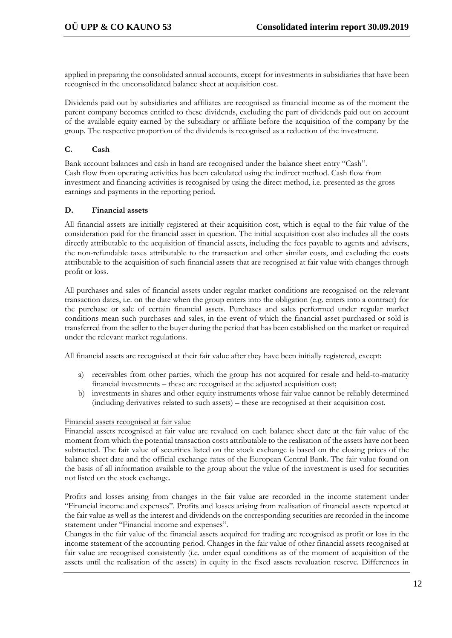applied in preparing the consolidated annual accounts, except for investments in subsidiaries that have been recognised in the unconsolidated balance sheet at acquisition cost.

Dividends paid out by subsidiaries and affiliates are recognised as financial income as of the moment the parent company becomes entitled to these dividends, excluding the part of dividends paid out on account of the available equity earned by the subsidiary or affiliate before the acquisition of the company by the group. The respective proportion of the dividends is recognised as a reduction of the investment.

### **C. Cash**

Bank account balances and cash in hand are recognised under the balance sheet entry "Cash". Cash flow from operating activities has been calculated using the indirect method. Cash flow from investment and financing activities is recognised by using the direct method, i.e. presented as the gross earnings and payments in the reporting period.

#### **D. Financial assets**

All financial assets are initially registered at their acquisition cost, which is equal to the fair value of the consideration paid for the financial asset in question. The initial acquisition cost also includes all the costs directly attributable to the acquisition of financial assets, including the fees payable to agents and advisers, the non-refundable taxes attributable to the transaction and other similar costs, and excluding the costs attributable to the acquisition of such financial assets that are recognised at fair value with changes through profit or loss.

All purchases and sales of financial assets under regular market conditions are recognised on the relevant transaction dates, i.e. on the date when the group enters into the obligation (e.g. enters into a contract) for the purchase or sale of certain financial assets. Purchases and sales performed under regular market conditions mean such purchases and sales, in the event of which the financial asset purchased or sold is transferred from the seller to the buyer during the period that has been established on the market or required under the relevant market regulations.

All financial assets are recognised at their fair value after they have been initially registered, except:

- a) receivables from other parties, which the group has not acquired for resale and held-to-maturity financial investments – these are recognised at the adjusted acquisition cost;
- b) investments in shares and other equity instruments whose fair value cannot be reliably determined (including derivatives related to such assets) – these are recognised at their acquisition cost.

#### Financial assets recognised at fair value

Financial assets recognised at fair value are revalued on each balance sheet date at the fair value of the moment from which the potential transaction costs attributable to the realisation of the assets have not been subtracted. The fair value of securities listed on the stock exchange is based on the closing prices of the balance sheet date and the official exchange rates of the European Central Bank. The fair value found on the basis of all information available to the group about the value of the investment is used for securities not listed on the stock exchange.

Profits and losses arising from changes in the fair value are recorded in the income statement under "Financial income and expenses". Profits and losses arising from realisation of financial assets reported at the fair value as well as the interest and dividends on the corresponding securities are recorded in the income statement under "Financial income and expenses".

Changes in the fair value of the financial assets acquired for trading are recognised as profit or loss in the income statement of the accounting period. Changes in the fair value of other financial assets recognised at fair value are recognised consistently (i.e. under equal conditions as of the moment of acquisition of the assets until the realisation of the assets) in equity in the fixed assets revaluation reserve. Differences in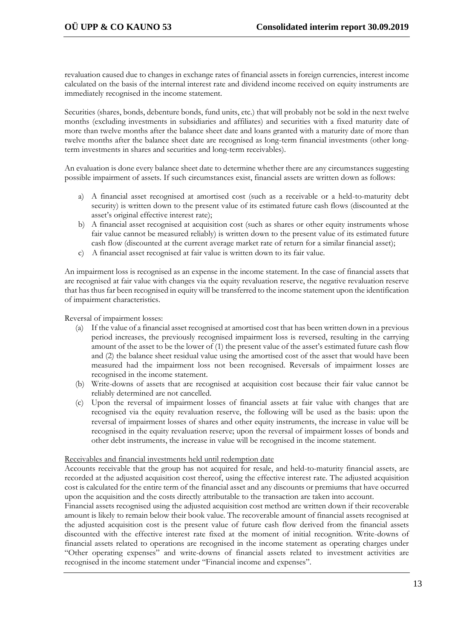revaluation caused due to changes in exchange rates of financial assets in foreign currencies, interest income calculated on the basis of the internal interest rate and dividend income received on equity instruments are immediately recognised in the income statement.

Securities (shares, bonds, debenture bonds, fund units, etc.) that will probably not be sold in the next twelve months (excluding investments in subsidiaries and affiliates) and securities with a fixed maturity date of more than twelve months after the balance sheet date and loans granted with a maturity date of more than twelve months after the balance sheet date are recognised as long-term financial investments (other longterm investments in shares and securities and long-term receivables).

An evaluation is done every balance sheet date to determine whether there are any circumstances suggesting possible impairment of assets. If such circumstances exist, financial assets are written down as follows:

- a) A financial asset recognised at amortised cost (such as a receivable or a held-to-maturity debt security) is written down to the present value of its estimated future cash flows (discounted at the asset's original effective interest rate);
- b) A financial asset recognised at acquisition cost (such as shares or other equity instruments whose fair value cannot be measured reliably) is written down to the present value of its estimated future cash flow (discounted at the current average market rate of return for a similar financial asset);
- c) A financial asset recognised at fair value is written down to its fair value.

An impairment loss is recognised as an expense in the income statement. In the case of financial assets that are recognised at fair value with changes via the equity revaluation reserve, the negative revaluation reserve that has thus far been recognised in equity will be transferred to the income statement upon the identification of impairment characteristics.

Reversal of impairment losses:

- (a) If the value of a financial asset recognised at amortised cost that has been written down in a previous period increases, the previously recognised impairment loss is reversed, resulting in the carrying amount of the asset to be the lower of (1) the present value of the asset's estimated future cash flow and (2) the balance sheet residual value using the amortised cost of the asset that would have been measured had the impairment loss not been recognised. Reversals of impairment losses are recognised in the income statement.
- (b) Write-downs of assets that are recognised at acquisition cost because their fair value cannot be reliably determined are not cancelled.
- (c) Upon the reversal of impairment losses of financial assets at fair value with changes that are recognised via the equity revaluation reserve, the following will be used as the basis: upon the reversal of impairment losses of shares and other equity instruments, the increase in value will be recognised in the equity revaluation reserve; upon the reversal of impairment losses of bonds and other debt instruments, the increase in value will be recognised in the income statement.

#### Receivables and financial investments held until redemption date

Accounts receivable that the group has not acquired for resale, and held-to-maturity financial assets, are recorded at the adjusted acquisition cost thereof, using the effective interest rate. The adjusted acquisition cost is calculated for the entire term of the financial asset and any discounts or premiums that have occurred upon the acquisition and the costs directly attributable to the transaction are taken into account.

Financial assets recognised using the adjusted acquisition cost method are written down if their recoverable amount is likely to remain below their book value. The recoverable amount of financial assets recognised at the adjusted acquisition cost is the present value of future cash flow derived from the financial assets discounted with the effective interest rate fixed at the moment of initial recognition. Write-downs of financial assets related to operations are recognised in the income statement as operating charges under "Other operating expenses" and write-downs of financial assets related to investment activities are recognised in the income statement under "Financial income and expenses".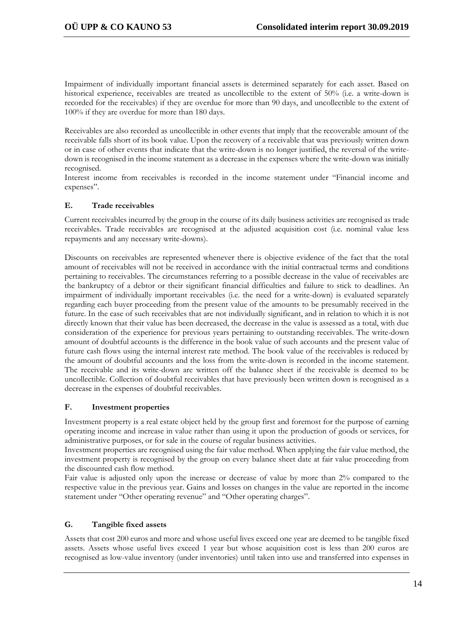Impairment of individually important financial assets is determined separately for each asset. Based on historical experience, receivables are treated as uncollectible to the extent of 50% (i.e. a write-down is recorded for the receivables) if they are overdue for more than 90 days, and uncollectible to the extent of 100% if they are overdue for more than 180 days.

Receivables are also recorded as uncollectible in other events that imply that the recoverable amount of the receivable falls short of its book value. Upon the recovery of a receivable that was previously written down or in case of other events that indicate that the write-down is no longer justified, the reversal of the writedown is recognised in the income statement as a decrease in the expenses where the write-down was initially recognised.

Interest income from receivables is recorded in the income statement under "Financial income and expenses".

# **E. Trade receivables**

Current receivables incurred by the group in the course of its daily business activities are recognised as trade receivables. Trade receivables are recognised at the adjusted acquisition cost (i.e. nominal value less repayments and any necessary write-downs).

Discounts on receivables are represented whenever there is objective evidence of the fact that the total amount of receivables will not be received in accordance with the initial contractual terms and conditions pertaining to receivables. The circumstances referring to a possible decrease in the value of receivables are the bankruptcy of a debtor or their significant financial difficulties and failure to stick to deadlines. An impairment of individually important receivables (i.e. the need for a write-down) is evaluated separately regarding each buyer proceeding from the present value of the amounts to be presumably received in the future. In the case of such receivables that are not individually significant, and in relation to which it is not directly known that their value has been decreased, the decrease in the value is assessed as a total, with due consideration of the experience for previous years pertaining to outstanding receivables. The write-down amount of doubtful accounts is the difference in the book value of such accounts and the present value of future cash flows using the internal interest rate method. The book value of the receivables is reduced by the amount of doubtful accounts and the loss from the write-down is recorded in the income statement. The receivable and its write-down are written off the balance sheet if the receivable is deemed to be uncollectible. Collection of doubtful receivables that have previously been written down is recognised as a decrease in the expenses of doubtful receivables.

#### **F. Investment properties**

Investment property is a real estate object held by the group first and foremost for the purpose of earning operating income and increase in value rather than using it upon the production of goods or services, for administrative purposes, or for sale in the course of regular business activities.

Investment properties are recognised using the fair value method. When applying the fair value method, the investment property is recognised by the group on every balance sheet date at fair value proceeding from the discounted cash flow method.

Fair value is adjusted only upon the increase or decrease of value by more than 2% compared to the respective value in the previous year. Gains and losses on changes in the value are reported in the income statement under "Other operating revenue" and "Other operating charges".

# **G. Tangible fixed assets**

Assets that cost 200 euros and more and whose useful lives exceed one year are deemed to be tangible fixed assets. Assets whose useful lives exceed 1 year but whose acquisition cost is less than 200 euros are recognised as low-value inventory (under inventories) until taken into use and transferred into expenses in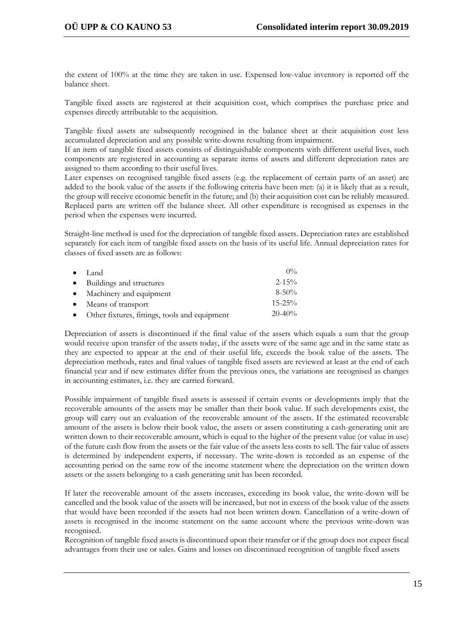the extent of 100% at the time they are taken in use. Expensed low-value inventory is reported off the balance sheet.

Tangible fixed assets are registered at their acquisition cost, which comprises the purchase price and expenses directly attributable to the acquisition.

Tangible fixed assets are subsequently recognised in the balance sheet at their acquisition cost less accumulated depreciation and any possible write-downs resulting from impairment.

If an item of tangible fixed assets consists of distinguishable components with different useful lives, such components are registered in accounting as separate items of assets and different depreciation rates are assigned to them according to their useful lives.

Later expenses on recognised tangible fixed assets (e.g. the replacement of certain parts of an asset) are added to the book value of the assets if the following criteria have been met: (a) it is likely that as a result, the group will receive economic benefit in the future; and (b) their acquisition cost can be reliably measured. Replaced parts are written off the balance sheet. All other expenditure is recognised as expenses in the period when the expenses were incurred.

Straight-line method is used for the depreciation of tangible fixed assets. Depreciation rates are established separately for each item of tangible fixed assets on the basis of its useful life. Annual depreciation rates for classes of fixed assets are as follows:

| $\bullet$ Land                                  | $0\%$       |
|-------------------------------------------------|-------------|
| • Buildings and structures                      | $2 - 15\%$  |
| • Machinery and equipment                       | $8 - 50\%$  |
| • Means of transport                            | $15 - 25\%$ |
| • Other fixtures, fittings, tools and equipment | $20 - 40\%$ |

Depreciation of assets is discontinued if the final value of the assets which equals a sum that the group would receive upon transfer of the assets today, if the assets were of the same age and in the same state as they are expected to appear at the end of their useful life, exceeds the book value of the assets. The depreciation methods, rates and final values of tangible fixed assets are reviewed at least at the end of each financial year and if new estimates differ from the previous ones, the variations are recognised as changes in accounting estimates, i.e. they are carried forward.

Possible impairment of tangible fixed assets is assessed if certain events or developments imply that the recoverable amounts of the assets may be smaller than their book value. If such developments exist, the group will carry out an evaluation of the recoverable amount of the assets. If the estimated recoverable amount of the assets is below their book value, the assets or assets constituting a cash-generating unit are written down to their recoverable amount, which is equal to the higher of the present value (or value in use) of the future cash flow from the assets or the fair value of the assets less costs to sell. The fair value of assets is determined by independent experts, if necessary. The write-down is recorded as an expense of the accounting period on the same row of the income statement where the depreciation on the written down assets or the assets belonging to a cash generating unit has been recorded.

If later the recoverable amount of the assets increases, exceeding its book value, the write-down will be cancelled and the book value of the assets will be increased, but not in excess of the book value of the assets that would have been recorded if the assets had not been written down. Cancellation of a write-down of assets is recognised in the income statement on the same account where the previous write-down was recognised.

Recognition of tangible fixed assets is discontinued upon their transfer or if the group does not expect fiscal advantages from their use or sales. Gains and losses on discontinued recognition of tangible fixed assets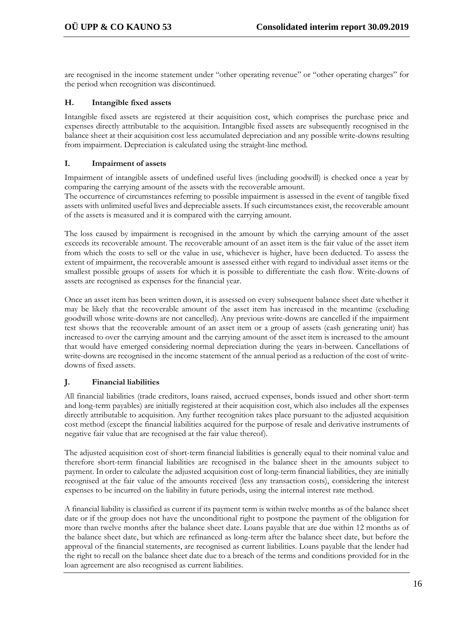are recognised in the income statement under "other operating revenue" or "other operating charges" for the period when recognition was discontinued.

#### **H. Intangible fixed assets**

Intangible fixed assets are registered at their acquisition cost, which comprises the purchase price and expenses directly attributable to the acquisition. Intangible fixed assets are subsequently recognised in the balance sheet at their acquisition cost less accumulated depreciation and any possible write-downs resulting from impairment. Depreciation is calculated using the straight-line method.

#### **I. Impairment of assets**

Impairment of intangible assets of undefined useful lives (including goodwill) is checked once a year by comparing the carrying amount of the assets with the recoverable amount.

The occurrence of circumstances referring to possible impairment is assessed in the event of tangible fixed assets with unlimited useful lives and depreciable assets. If such circumstances exist, the recoverable amount of the assets is measured and it is compared with the carrying amount.

The loss caused by impairment is recognised in the amount by which the carrying amount of the asset exceeds its recoverable amount. The recoverable amount of an asset item is the fair value of the asset item from which the costs to sell or the value in use, whichever is higher, have been deducted. To assess the extent of impairment, the recoverable amount is assessed either with regard to individual asset items or the smallest possible groups of assets for which it is possible to differentiate the cash flow. Write-downs of assets are recognised as expenses for the financial year.

Once an asset item has been written down, it is assessed on every subsequent balance sheet date whether it may be likely that the recoverable amount of the asset item has increased in the meantime (excluding goodwill whose write-downs are not cancelled). Any previous write-downs are cancelled if the impairment test shows that the recoverable amount of an asset item or a group of assets (cash generating unit) has increased to over the carrying amount and the carrying amount of the asset item is increased to the amount that would have emerged considering normal depreciation during the years in-between. Cancellations of write-downs are recognised in the income statement of the annual period as a reduction of the cost of writedowns of fixed assets.

# **J. Financial liabilities**

All financial liabilities (trade creditors, loans raised, accrued expenses, bonds issued and other short-term and long-term payables) are initially registered at their acquisition cost, which also includes all the expenses directly attributable to acquisition. Any further recognition takes place pursuant to the adjusted acquisition cost method (except the financial liabilities acquired for the purpose of resale and derivative instruments of negative fair value that are recognised at the fair value thereof).

The adjusted acquisition cost of short-term financial liabilities is generally equal to their nominal value and therefore short-term financial liabilities are recognised in the balance sheet in the amounts subject to payment. In order to calculate the adjusted acquisition cost of long-term financial liabilities, they are initially recognised at the fair value of the amounts received (less any transaction costs), considering the interest expenses to be incurred on the liability in future periods, using the internal interest rate method.

A financial liability is classified as current if its payment term is within twelve months as of the balance sheet date or if the group does not have the unconditional right to postpone the payment of the obligation for more than twelve months after the balance sheet date. Loans payable that are due within 12 months as of the balance sheet date, but which are refinanced as long-term after the balance sheet date, but before the approval of the financial statements, are recognised as current liabilities. Loans payable that the lender had the right to recall on the balance sheet date due to a breach of the terms and conditions provided for in the loan agreement are also recognised as current liabilities.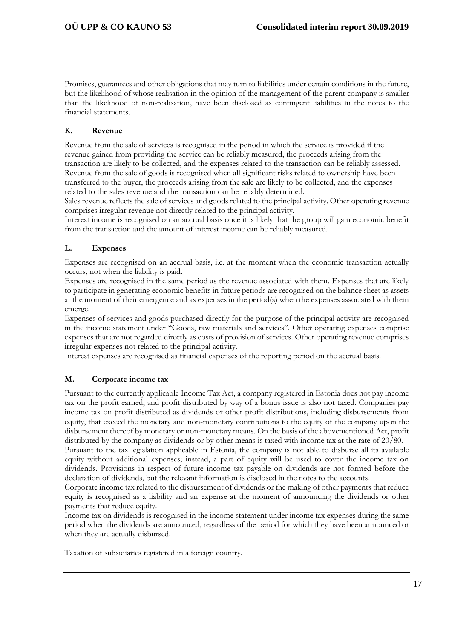Promises, guarantees and other obligations that may turn to liabilities under certain conditions in the future, but the likelihood of whose realisation in the opinion of the management of the parent company is smaller than the likelihood of non-realisation, have been disclosed as contingent liabilities in the notes to the financial statements.

# **K. Revenue**

Revenue from the sale of services is recognised in the period in which the service is provided if the revenue gained from providing the service can be reliably measured, the proceeds arising from the transaction are likely to be collected, and the expenses related to the transaction can be reliably assessed. Revenue from the sale of goods is recognised when all significant risks related to ownership have been transferred to the buyer, the proceeds arising from the sale are likely to be collected, and the expenses related to the sales revenue and the transaction can be reliably determined.

Sales revenue reflects the sale of services and goods related to the principal activity. Other operating revenue comprises irregular revenue not directly related to the principal activity.

Interest income is recognised on an accrual basis once it is likely that the group will gain economic benefit from the transaction and the amount of interest income can be reliably measured.

# **L. Expenses**

Expenses are recognised on an accrual basis, i.e. at the moment when the economic transaction actually occurs, not when the liability is paid.

Expenses are recognised in the same period as the revenue associated with them. Expenses that are likely to participate in generating economic benefits in future periods are recognised on the balance sheet as assets at the moment of their emergence and as expenses in the period(s) when the expenses associated with them emerge.

Expenses of services and goods purchased directly for the purpose of the principal activity are recognised in the income statement under "Goods, raw materials and services". Other operating expenses comprise expenses that are not regarded directly as costs of provision of services. Other operating revenue comprises irregular expenses not related to the principal activity.

Interest expenses are recognised as financial expenses of the reporting period on the accrual basis.

# **M. Corporate income tax**

Pursuant to the currently applicable Income Tax Act, a company registered in Estonia does not pay income tax on the profit earned, and profit distributed by way of a bonus issue is also not taxed. Companies pay income tax on profit distributed as dividends or other profit distributions, including disbursements from equity, that exceed the monetary and non-monetary contributions to the equity of the company upon the disbursement thereof by monetary or non-monetary means. On the basis of the abovementioned Act, profit distributed by the company as dividends or by other means is taxed with income tax at the rate of 20/80.

Pursuant to the tax legislation applicable in Estonia, the company is not able to disburse all its available equity without additional expenses; instead, a part of equity will be used to cover the income tax on dividends. Provisions in respect of future income tax payable on dividends are not formed before the declaration of dividends, but the relevant information is disclosed in the notes to the accounts.

Corporate income tax related to the disbursement of dividends or the making of other payments that reduce equity is recognised as a liability and an expense at the moment of announcing the dividends or other payments that reduce equity.

Income tax on dividends is recognised in the income statement under income tax expenses during the same period when the dividends are announced, regardless of the period for which they have been announced or when they are actually disbursed.

Taxation of subsidiaries registered in a foreign country.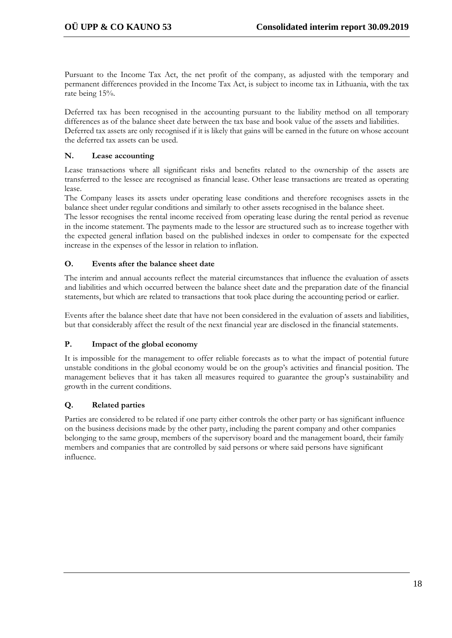Pursuant to the Income Tax Act, the net profit of the company, as adjusted with the temporary and permanent differences provided in the Income Tax Act, is subject to income tax in Lithuania, with the tax rate being 15%.

Deferred tax has been recognised in the accounting pursuant to the liability method on all temporary differences as of the balance sheet date between the tax base and book value of the assets and liabilities. Deferred tax assets are only recognised if it is likely that gains will be earned in the future on whose account the deferred tax assets can be used.

#### **N. Lease accounting**

Lease transactions where all significant risks and benefits related to the ownership of the assets are transferred to the lessee are recognised as financial lease. Other lease transactions are treated as operating lease.

The Company leases its assets under operating lease conditions and therefore recognises assets in the balance sheet under regular conditions and similarly to other assets recognised in the balance sheet.

The lessor recognises the rental income received from operating lease during the rental period as revenue in the income statement. The payments made to the lessor are structured such as to increase together with the expected general inflation based on the published indexes in order to compensate for the expected increase in the expenses of the lessor in relation to inflation.

#### **O. Events after the balance sheet date**

The interim and annual accounts reflect the material circumstances that influence the evaluation of assets and liabilities and which occurred between the balance sheet date and the preparation date of the financial statements, but which are related to transactions that took place during the accounting period or earlier.

Events after the balance sheet date that have not been considered in the evaluation of assets and liabilities, but that considerably affect the result of the next financial year are disclosed in the financial statements.

#### **P. Impact of the global economy**

It is impossible for the management to offer reliable forecasts as to what the impact of potential future unstable conditions in the global economy would be on the group's activities and financial position. The management believes that it has taken all measures required to guarantee the group's sustainability and growth in the current conditions.

# **Q. Related parties**

Parties are considered to be related if one party either controls the other party or has significant influence on the business decisions made by the other party, including the parent company and other companies belonging to the same group, members of the supervisory board and the management board, their family members and companies that are controlled by said persons or where said persons have significant influence.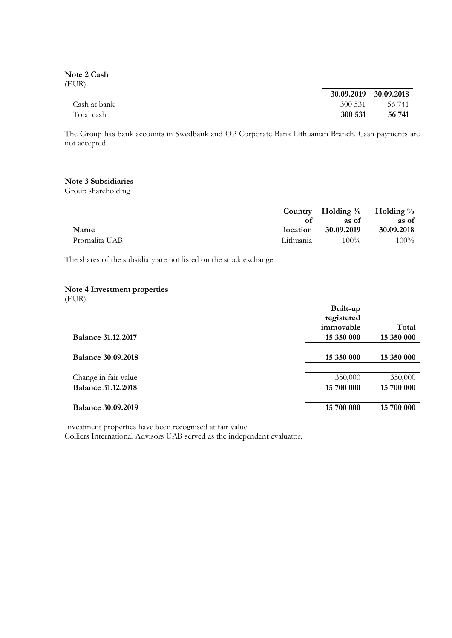**Note 2 Cash** (EUR)

|              |         | 30.09.2019 30.09.2018 |
|--------------|---------|-----------------------|
| Cash at bank | 300 531 | - 56 741              |
| Total cash   | 300 531 | 56 741                |

The Group has bank accounts in Swedbank and OP Corporate Bank Lithuanian Branch. Cash payments are not accepted.

#### **Note 3 Subsidiaries**

Group shareholding

|               |           | Country Holding $\%$ Holding $\%$ |            |
|---------------|-----------|-----------------------------------|------------|
|               | Ωt        | as of                             | as of      |
| Name          | location  | 30.09.2019                        | 30.09.2018 |
| Promalita UAB | Lithuania | $100\%$                           | $100\%$    |

The shares of the subsidiary are not listed on the stock exchange.

#### **Note 4 Investment properties**

(EUR)

|                           | Built-up   |            |
|---------------------------|------------|------------|
|                           | registered |            |
|                           | immovable  | Total      |
| <b>Balance 31.12.2017</b> | 15 350 000 | 15 350 000 |
|                           |            |            |
| <b>Balance 30.09.2018</b> | 15 350 000 | 15 350 000 |
|                           |            |            |
| Change in fair value      | 350,000    | 350,000    |
| <b>Balance 31.12.2018</b> | 15 700 000 | 15 700 000 |
|                           |            |            |
| <b>Balance 30.09.2019</b> | 15 700 000 | 15 700 000 |
|                           |            |            |

Investment properties have been recognised at fair value.

Colliers International Advisors UAB served as the independent evaluator.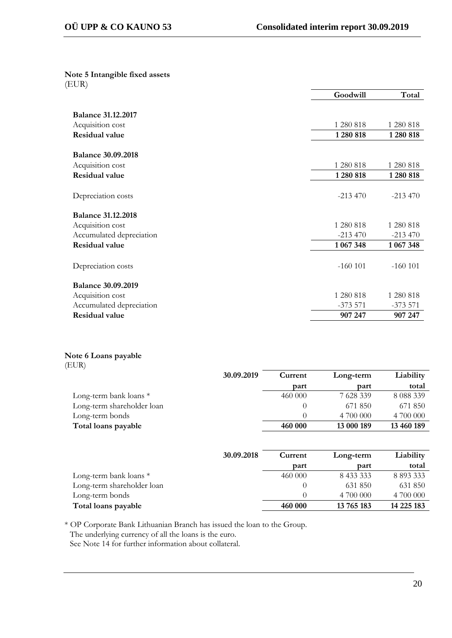**Note 5 Intangible fixed assets** (EUR)

|                           | Goodwill  | Total     |
|---------------------------|-----------|-----------|
|                           |           |           |
| <b>Balance 31.12.2017</b> |           |           |
| Acquisition cost          | 1 280 818 | 1 280 818 |
| <b>Residual value</b>     | 1 280 818 | 1280 818  |
|                           |           |           |
| <b>Balance 30.09.2018</b> |           |           |
| Acquisition cost          | 1 280 818 | 1 280 818 |
| <b>Residual value</b>     | 1 280 818 | 1280 818  |
|                           |           |           |
| Depreciation costs        | $-213470$ | $-213470$ |
|                           |           |           |
| <b>Balance 31.12.2018</b> |           |           |
| Acquisition cost          | 1 280 818 | 1 280 818 |
| Accumulated depreciation  | $-213470$ | $-213470$ |
| <b>Residual value</b>     | 1 067 348 | 1 067 348 |
|                           |           |           |
| Depreciation costs        | $-160101$ | $-160101$ |
|                           |           |           |
| <b>Balance 30.09.2019</b> |           |           |
| Acquisition cost          | 1 280 818 | 1 280 818 |
| Accumulated depreciation  | $-373571$ | $-373571$ |
| <b>Residual value</b>     | 907 247   | 907 247   |

# **Note 6 Loans payable**

| (EUR)                      |            |         |            |               |
|----------------------------|------------|---------|------------|---------------|
|                            | 30.09.2019 | Current | Long-term  | Liability     |
|                            |            | part    | part       | total         |
| Long-term bank loans *     |            | 460 000 | 7 628 339  | 8 0 8 3 3 3 9 |
| Long-term shareholder loan |            |         | 671 850    | 671 850       |
| Long-term bonds            |            |         | 4 700 000  | 4 700 000     |
| Total loans payable        |            | 460 000 | 13 000 189 | 13 460 189    |

|                            | 30.09.2018 | Current | Long-term  | Liability  |
|----------------------------|------------|---------|------------|------------|
|                            |            | part    | part       | total      |
| Long-term bank loans *     |            | 460 000 | 8 433 333  | 8 893 333  |
| Long-term shareholder loan |            |         | 631 850    | 631 850    |
| Long-term bonds            |            |         | 4 700 000  | 4 700 000  |
| Total loans payable        |            | 460 000 | 13 765 183 | 14 225 183 |

\* OP Corporate Bank Lithuanian Branch has issued the loan to the Group.

The underlying currency of all the loans is the euro.

See Note 14 for further information about collateral.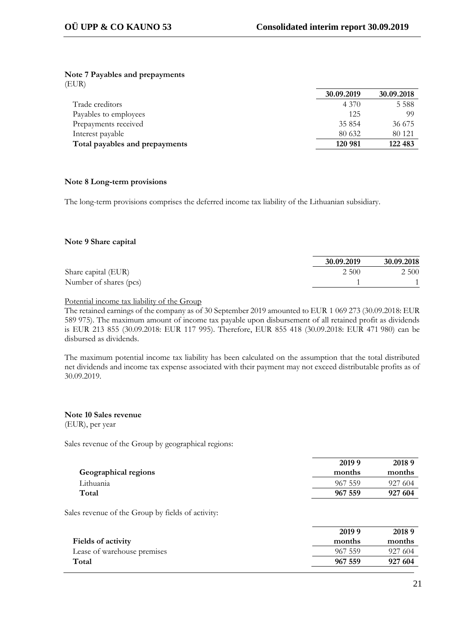### **Note 7 Payables and prepayments**

(EUR)

|                                | 30.09.2019 | 30.09.2018 |
|--------------------------------|------------|------------|
| Trade creditors                | 4 3 7 0    | 5 5 8 8    |
| Payables to employees          | 125        | 99         |
| Prepayments received           | 35 854     | 36 675     |
| Interest payable               | 80 632     | 80 1 21    |
| Total payables and prepayments | 120 981    | 122 483    |

#### **Note 8 Long-term provisions**

The long-term provisions comprises the deferred income tax liability of the Lithuanian subsidiary.

#### **Note 9 Share capital**

|                        | 30.09.2019 |       | 30.09.2018 |
|------------------------|------------|-------|------------|
| Share capital (EUR)    |            | 2 500 | 2 5 0 0    |
| Number of shares (pcs) |            |       |            |

#### Potential income tax liability of the Group

The retained earnings of the company as of 30 September 2019 amounted to EUR 1 069 273 (30.09.2018: EUR 589 975). The maximum amount of income tax payable upon disbursement of all retained profit as dividends is EUR 213 855 (30.09.2018: EUR 117 995). Therefore, EUR 855 418 (30.09.2018: EUR 471 980) can be disbursed as dividends.

The maximum potential income tax liability has been calculated on the assumption that the total distributed net dividends and income tax expense associated with their payment may not exceed distributable profits as of 30.09.2019.

#### **Note 10 Sales revenue** (EUR), per year

Sales revenue of the Group by geographical regions:

|                             | 2019 9  | 20189   |
|-----------------------------|---------|---------|
| <b>Geographical regions</b> | months  | months  |
| Lithuania                   | 967 559 | 927 604 |
| Total                       | 967 559 | 927 604 |

Sales revenue of the Group by fields of activity:

|                             | 2019 9  | 20189   |
|-----------------------------|---------|---------|
| <b>Fields of activity</b>   | months  | months  |
| Lease of warehouse premises | 967.559 | 927 604 |
| Total                       | 967 559 | 927 604 |
|                             |         |         |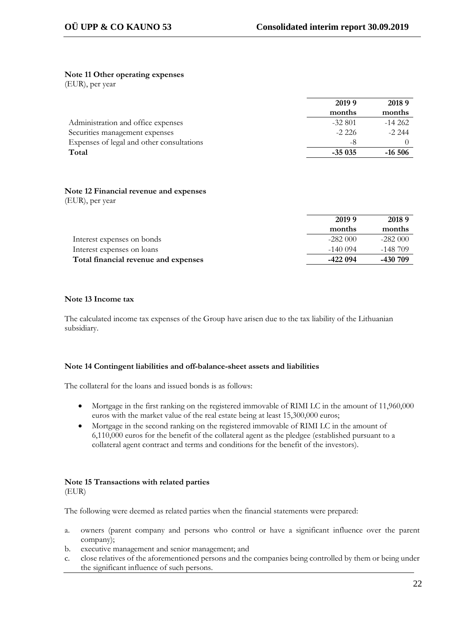#### **Note 11 Other operating expenses**

(EUR), per year

| 20189    |
|----------|
| months   |
| $-14262$ |
| $-2.244$ |
|          |
| $-16506$ |
|          |

# **Note 12 Financial revenue and expenses**

(EUR), per year

|                                      | 2019 9     | 20189     |
|--------------------------------------|------------|-----------|
|                                      | months     | months    |
| Interest expenses on bonds           | $-282000$  | $-282000$ |
| Interest expenses on loans           | $-140.094$ | -148 709  |
| Total financial revenue and expenses | -422 094   | -430 709  |

#### **Note 13 Income tax**

The calculated income tax expenses of the Group have arisen due to the tax liability of the Lithuanian subsidiary.

#### **Note 14 Contingent liabilities and off-balance-sheet assets and liabilities**

The collateral for the loans and issued bonds is as follows:

- Mortgage in the first ranking on the registered immovable of RIMI LC in the amount of 11,960,000 euros with the market value of the real estate being at least 15,300,000 euros;
- Mortgage in the second ranking on the registered immovable of RIMI LC in the amount of 6,110,000 euros for the benefit of the collateral agent as the pledgee (established pursuant to a collateral agent contract and terms and conditions for the benefit of the investors).

### **Note 15 Transactions with related parties** (EUR)

The following were deemed as related parties when the financial statements were prepared:

- a. owners (parent company and persons who control or have a significant influence over the parent company);
- b. executive management and senior management; and
- c. close relatives of the aforementioned persons and the companies being controlled by them or being under the significant influence of such persons.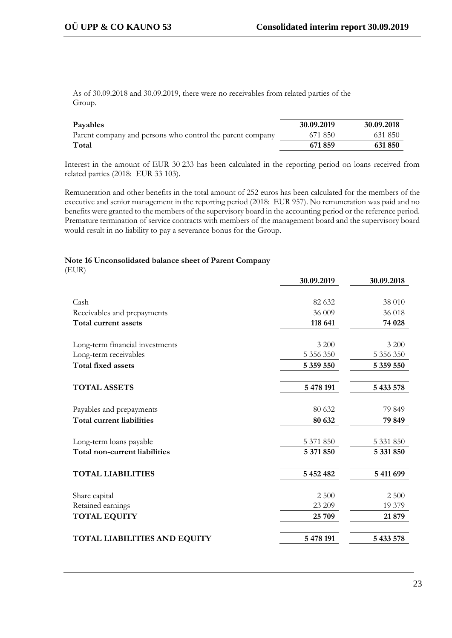As of 30.09.2018 and 30.09.2019, there were no receivables from related parties of the Group.

| Payables                                                  | 30.09.2019 | 30.09.2018 |
|-----------------------------------------------------------|------------|------------|
| Parent company and persons who control the parent company | 671 850    | 631 850    |
| Total                                                     | 671859     | 631850     |

Interest in the amount of EUR 30 233 has been calculated in the reporting period on loans received from related parties (2018: EUR 33 103).

Remuneration and other benefits in the total amount of 252 euros has been calculated for the members of the executive and senior management in the reporting period (2018: EUR 957). No remuneration was paid and no benefits were granted to the members of the supervisory board in the accounting period or the reference period. Premature termination of service contracts with members of the management board and the supervisory board would result in no liability to pay a severance bonus for the Group.

#### **Note 16 Unconsolidated balance sheet of Parent Company**

| × | i |
|---|---|

| 30.09.2019 | 30.09.2018 |
|------------|------------|
|            |            |
| 82 632     | 38 010     |
| 36 009     | 36 018     |
| 118 641    | 74 028     |
| 3 200      | 3 200      |
| 5 356 350  | 5 356 350  |
| 5 359 550  | 5 359 550  |
| 5 478 191  | 5 433 578  |
| 80 632     | 79 849     |
| 80 632     | 79 849     |
| 5 371 850  | 5 331 850  |
| 5 371 850  | 5 331 850  |
| 5 452 482  | 5 411 699  |
| 2 500      | 2 500      |
| 23 209     | 19 379     |
| 25 709     | 21 879     |
| 5 478 191  | 5 433 578  |
|            |            |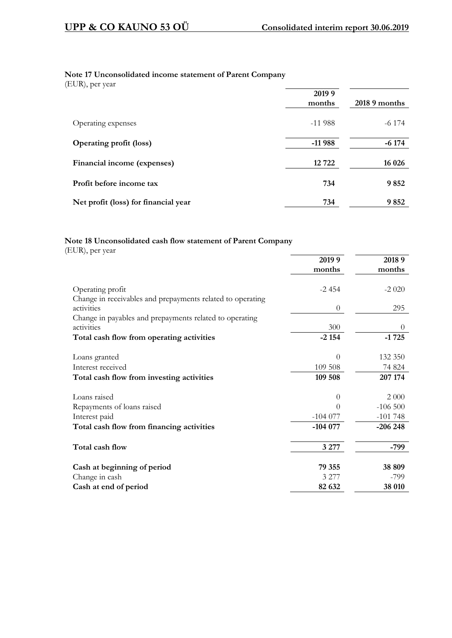# **Note 17 Unconsolidated income statement of Parent Company**

(EUR), per year

| $\sqrt{1}$                           | 2019 9<br>months | 2018 9 months |
|--------------------------------------|------------------|---------------|
| Operating expenses                   | $-11988$         | $-6$ 174      |
| <b>Operating profit (loss)</b>       | $-11988$         | $-6174$       |
| Financial income (expenses)          | 12722            | 16 0 26       |
| Profit before income tax             | 734              | 9852          |
| Net profit (loss) for financial year | 734              | 9852          |

# **Note 18 Unconsolidated cash flow statement of Parent Company**

(EUR), per year

|                                                                       | 2019 9         | 20189     |
|-----------------------------------------------------------------------|----------------|-----------|
|                                                                       | months         | months    |
| Operating profit                                                      | $-2454$        | $-2020$   |
| Change in receivables and prepayments related to operating            |                |           |
| activities                                                            | $\overline{0}$ | 295       |
| Change in payables and prepayments related to operating<br>activities | 300            | $\theta$  |
| Total cash flow from operating activities                             | $-2154$        | $-1725$   |
|                                                                       |                |           |
| Loans granted                                                         | $\theta$       | 132 350   |
| Interest received                                                     | 109 508        | 74 824    |
| Total cash flow from investing activities                             | 109 508        | 207 174   |
| Loans raised                                                          | $\Omega$       | 2 0 0 0   |
| Repayments of loans raised                                            | 0              | $-106500$ |
| Interest paid                                                         | $-104077$      | $-101748$ |
| Total cash flow from financing activities                             | $-104077$      | $-206248$ |
| Total cash flow                                                       | 3 2 7 7        | -799      |
|                                                                       |                |           |
| Cash at beginning of period                                           | 79 355         | 38 809    |
| Change in cash                                                        | 3 277          | -799      |
| Cash at end of period                                                 | 82 632         | 38 010    |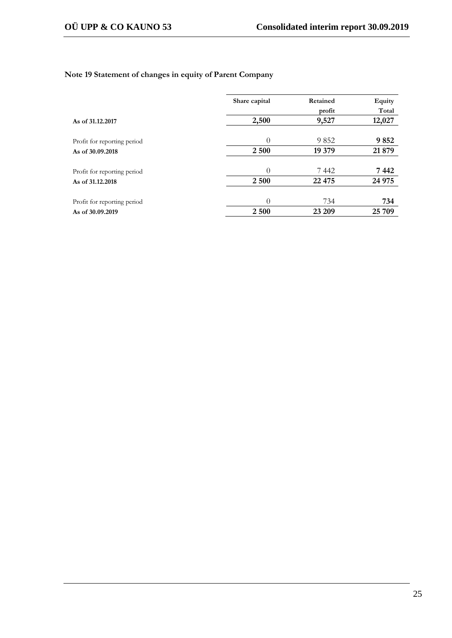# **Note 19 Statement of changes in equity of Parent Company**

|                             | Share capital | Retained | Equity |  |
|-----------------------------|---------------|----------|--------|--|
|                             |               | profit   | Total  |  |
| As of 31.12.2017            | 2,500         | 9,527    | 12,027 |  |
|                             |               |          |        |  |
| Profit for reporting period | $\Omega$      | 9852     | 9852   |  |
| As of 30,09,2018            | 2 500         | 19 379   | 21 879 |  |
|                             |               |          |        |  |
| Profit for reporting period | $\Omega$      | 7442     | 7 442  |  |
| As of 31,12,2018            | 2 500         | 22 4 7 5 | 24 975 |  |
| Profit for reporting period | $\Omega$      | 734      | 734    |  |
| As of 30,09,2019            | 2 500         | 23 209   | 25 709 |  |